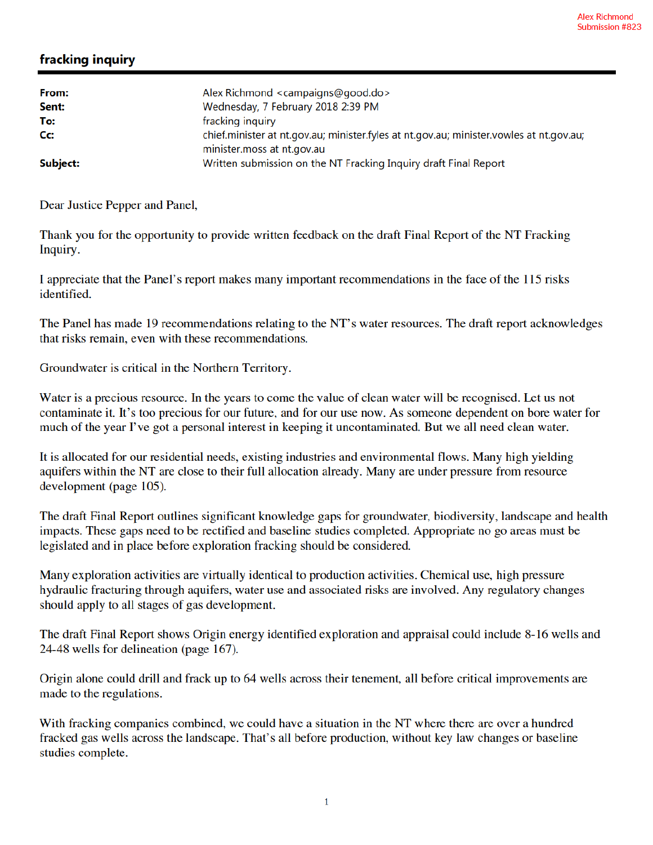## fracking inquiry

| From:<br>Sent:   | Alex Richmond <campaigns@good.do><br/>Wednesday, 7 February 2018 2:39 PM</campaigns@good.do>                          |
|------------------|-----------------------------------------------------------------------------------------------------------------------|
| To:              | fracking inquiry                                                                                                      |
| $C_{\mathbf{C}}$ | chief.minister at nt.gov.au; minister.fyles at nt.gov.au; minister.vowles at nt.gov.au;<br>minister.moss at nt.gov.au |
| Subject:         | Written submission on the NT Fracking Inquiry draft Final Report                                                      |

Dear Justice Pepper and Panel,

Thank you for the opportunity to provide written feedback on the draft Final Report of the NT Fracking Inquiry.

I appreciate that the Panel's report makes many important recommendations in the face of the 115 risks identified.

The Panel has made 19 recommendations relating to the NT's water resources. The draft report acknowledges that risks remain, even with these recommendations.

Groundwater is critical in the Northern Territory.

Water is a precious resource. In the years to come the value of clean water will be recognised. Let us not contaminate it. It's too precious for our future, and for our use now. As someone dependent on bore water for much of the year I've got a personal interest in keeping it uncontaminated. But we all need clean water.

It is allocated for our residential needs, existing industries and environmental flows. Many high yielding aquifers within the NT are close to their full allocation already. Many are under pressure from resource development (page 105).

The draft Final Report outlines significant knowledge gaps for groundwater, biodiversity, landscape and health impacts. These gaps need to be rectified and baseline studies completed. Appropriate no go areas must be legislated and in place before exploration fracking should be considered.

Many exploration activities are virtually identical to production activities. Chemical use, high pressure hydraulic fracturing through aquifers, water use and associated risks are involved. Any regulatory changes should apply to all stages of gas development.

The draft Final Report shows Origin energy identified exploration and appraisal could include 8-16 wells and 24-48 wells for delineation (page 167).

Origin alone could drill and frack up to 64 wells across their tenement, all before critical improvements are made to the regulations.

With fracking companies combined, we could have a situation in the NT where there are over a hundred fracked gas wells across the landscape. That's all before production, without key law changes or baseline studies complete.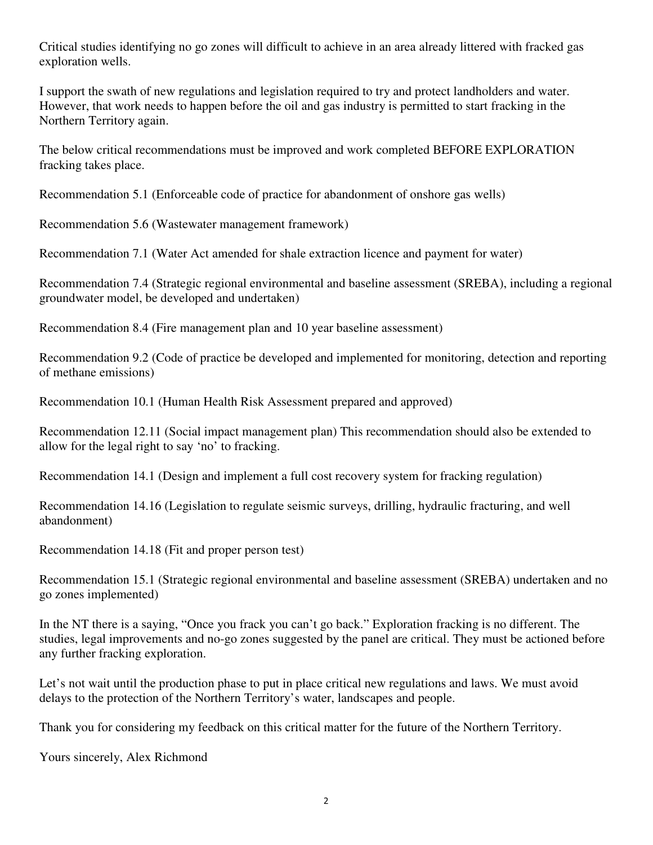Critical studies identifying no go zones will difficult to achieve in an area already littered with fracked gas exploration wells.

I support the swath of new regulations and legislation required to try and protect landholders and water. However, that work needs to happen before the oil and gas industry is permitted to start fracking in the Northern Territory again.

The below critical recommendations must be improved and work completed BEFORE EXPLORATION fracking takes place.

Recommendation 5.1 (Enforceable code of practice for abandonment of onshore gas wells)

Recommendation 5.6 (Wastewater management framework)

Recommendation 7.1 (Water Act amended for shale extraction licence and payment for water)

Recommendation 7.4 (Strategic regional environmental and baseline assessment (SREBA), including a regional groundwater model, be developed and undertaken)

Recommendation 8.4 (Fire management plan and 10 year baseline assessment)

Recommendation 9.2 (Code of practice be developed and implemented for monitoring, detection and reporting of methane emissions)

Recommendation 10.1 (Human Health Risk Assessment prepared and approved)

Recommendation 12.11 (Social impact management plan) This recommendation should also be extended to allow for the legal right to say 'no' to fracking.

Recommendation 14.1 (Design and implement a full cost recovery system for fracking regulation)

Recommendation 14.16 (Legislation to regulate seismic surveys, drilling, hydraulic fracturing, and well abandonment)

Recommendation 14.18 (Fit and proper person test)

Recommendation 15.1 (Strategic regional environmental and baseline assessment (SREBA) undertaken and no go zones implemented)

In the NT there is a saying, "Once you frack you can't go back." Exploration fracking is no different. The studies, legal improvements and no-go zones suggested by the panel are critical. They must be actioned before any further fracking exploration.

Let's not wait until the production phase to put in place critical new regulations and laws. We must avoid delays to the protection of the Northern Territory's water, landscapes and people.

Thank you for considering my feedback on this critical matter for the future of the Northern Territory.

Yours sincerely, Alex Richmond